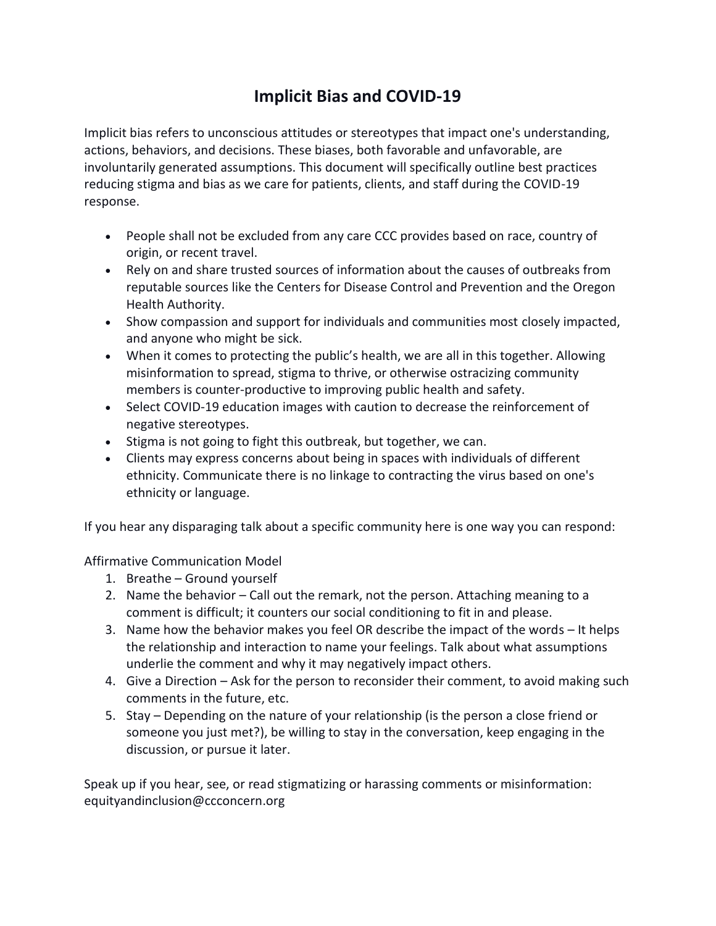## **Implicit Bias and COVID-19**

Implicit bias refers to unconscious attitudes or stereotypes that impact one's understanding, actions, behaviors, and decisions. These biases, both favorable and unfavorable, are involuntarily generated assumptions. This document will specifically outline best practices reducing stigma and bias as we care for patients, clients, and staff during the COVID-19 response.

- People shall not be excluded from any care CCC provides based on race, country of origin, or recent travel.
- Rely on and share trusted sources of information about the causes of outbreaks from reputable sources like the Centers for Disease Control and Prevention and the Oregon Health Authority.
- Show compassion and support for individuals and communities most closely impacted, and anyone who might be sick.
- When it comes to protecting the public's health, we are all in this together. Allowing misinformation to spread, stigma to thrive, or otherwise ostracizing community members is counter-productive to improving public health and safety.
- Select COVID-19 education images with caution to decrease the reinforcement of negative stereotypes.
- Stigma is not going to fight this outbreak, but together, we can.
- Clients may express concerns about being in spaces with individuals of different ethnicity. Communicate there is no linkage to contracting the virus based on one's ethnicity or language.

If you hear any disparaging talk about a specific community here is one way you can respond:

Affirmative Communication Model

- 1. Breathe Ground yourself
- 2. Name the behavior Call out the remark, not the person. Attaching meaning to a comment is difficult; it counters our social conditioning to fit in and please.
- 3. Name how the behavior makes you feel OR describe the impact of the words It helps the relationship and interaction to name your feelings. Talk about what assumptions underlie the comment and why it may negatively impact others.
- 4. Give a Direction Ask for the person to reconsider their comment, to avoid making such comments in the future, etc.
- 5. Stay Depending on the nature of your relationship (is the person a close friend or someone you just met?), be willing to stay in the conversation, keep engaging in the discussion, or pursue it later.

Speak up if you hear, see, or read stigmatizing or harassing comments or misinformation: equityandinclusion@ccconcern.org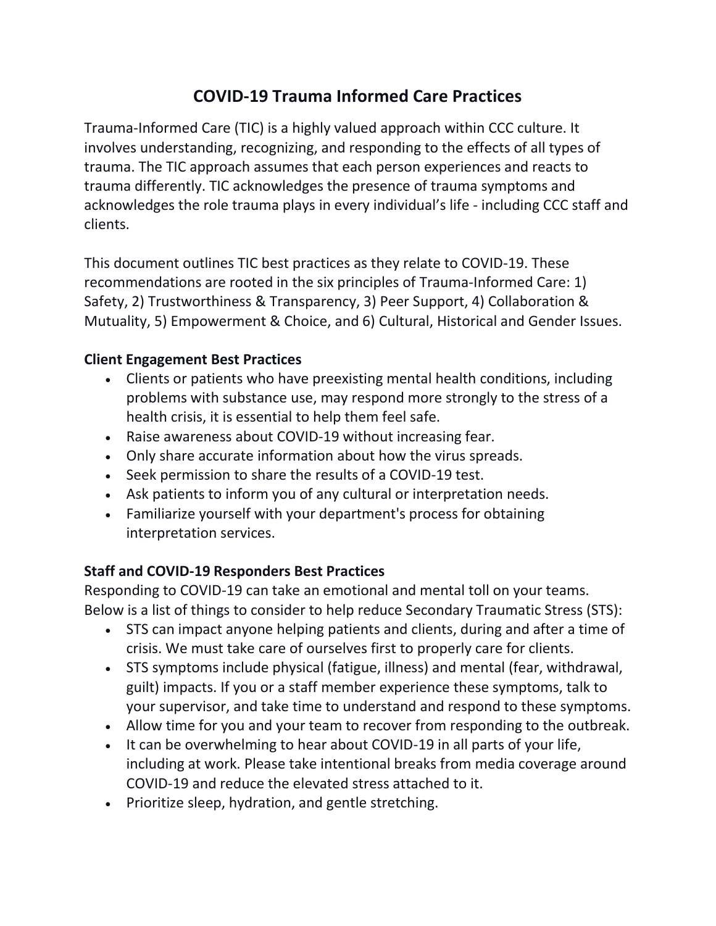## **COVID-19 Trauma Informed Care Practices**

Trauma-Informed Care (TIC) is a highly valued approach within CCC culture. It involves understanding, recognizing, and responding to the effects of all types of trauma. The TIC approach assumes that each person experiences and reacts to trauma differently. TIC acknowledges the presence of trauma symptoms and acknowledges the role trauma plays in every individual's life - including CCC staff and clients.

This document outlines TIC best practices as they relate to COVID-19. These recommendations are rooted in the six principles of Trauma-Informed Care: 1) Safety, 2) Trustworthiness & Transparency, 3) Peer Support, 4) Collaboration & Mutuality, 5) Empowerment & Choice, and 6) Cultural, Historical and Gender Issues.

#### **Client Engagement Best Practices**

- Clients or patients who have preexisting mental health conditions, including problems with substance use, may respond more strongly to the stress of a health crisis, it is essential to help them feel safe.
- Raise awareness about COVID-19 without increasing fear.
- Only share accurate information about how the virus spreads.
- Seek permission to share the results of a COVID-19 test.
- Ask patients to inform you of any cultural or interpretation needs.
- Familiarize yourself with your department's process for obtaining interpretation services.

### **Staff and COVID-19 Responders Best Practices**

Responding to COVID-19 can take an emotional and mental toll on your teams. Below is a list of things to consider to help reduce Secondary Traumatic Stress (STS):

- STS can impact anyone helping patients and clients, during and after a time of crisis. We must take care of ourselves first to properly care for clients.
- STS symptoms include physical (fatigue, illness) and mental (fear, withdrawal, guilt) impacts. If you or a staff member experience these symptoms, talk to your supervisor, and take time to understand and respond to these symptoms.
- Allow time for you and your team to recover from responding to the outbreak.
- It can be overwhelming to hear about COVID-19 in all parts of your life, including at work. Please take intentional breaks from media coverage around COVID-19 and reduce the elevated stress attached to it.
- Prioritize sleep, hydration, and gentle stretching.